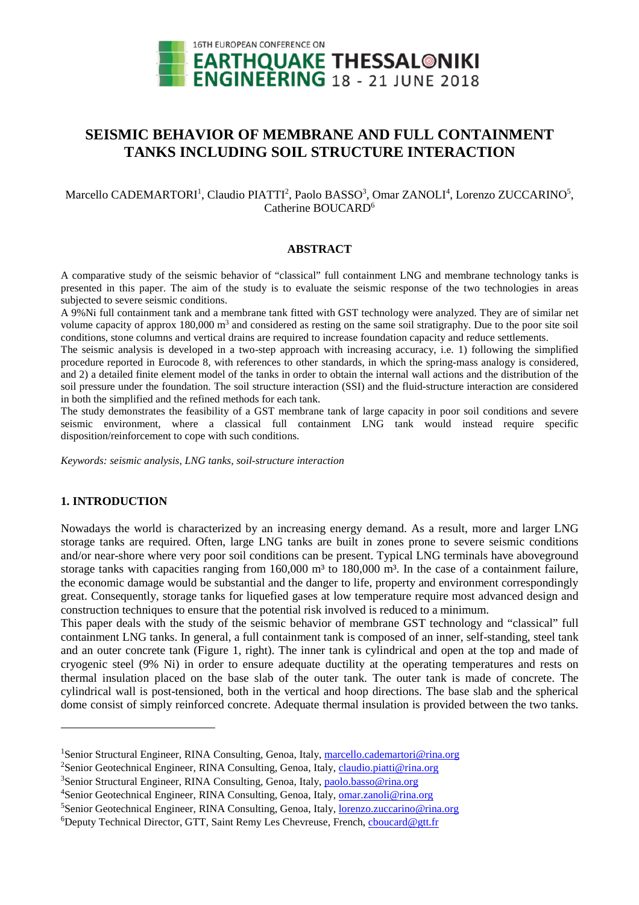

# **SEISMIC BEHAVIOR OF MEMBRANE AND FULL CONTAINMENT TANKS INCLUDING SOIL STRUCTURE INTERACTION**

## Marcello CADEMARTORI<sup>1</sup>, Claudio PIATTI<sup>2</sup>, Paolo BASSO<sup>3</sup>, Omar ZANOLI<sup>4</sup>, Lorenzo ZUCCARINO<sup>5</sup>, Catherine BOUCARD<sup>6</sup>

# **ABSTRACT**

A comparative study of the seismic behavior of "classical" full containment LNG and membrane technology tanks is presented in this paper. The aim of the study is to evaluate the seismic response of the two technologies in areas subjected to severe seismic conditions.

A 9%Ni full containment tank and a membrane tank fitted with GST technology were analyzed. They are of similar net volume capacity of approx 180,000 m<sup>3</sup> and considered as resting on the same soil stratigraphy. Due to the poor site soil conditions, stone columns and vertical drains are required to increase foundation capacity and reduce settlements.

The seismic analysis is developed in a two-step approach with increasing accuracy, i.e. 1) following the simplified procedure reported in Eurocode 8, with references to other standards, in which the spring-mass analogy is considered, and 2) a detailed finite element model of the tanks in order to obtain the internal wall actions and the distribution of the soil pressure under the foundation. The soil structure interaction (SSI) and the fluid-structure interaction are considered in both the simplified and the refined methods for each tank.

The study demonstrates the feasibility of a GST membrane tank of large capacity in poor soil conditions and severe seismic environment, where a classical full containment LNG tank would instead require specific disposition/reinforcement to cope with such conditions.

*Keywords: seismic analysis, LNG tanks, soil-structure interaction* 

## **1. INTRODUCTION**

 $\overline{a}$ 

Nowadays the world is characterized by an increasing energy demand. As a result, more and larger LNG storage tanks are required. Often, large LNG tanks are built in zones prone to severe seismic conditions and/or near-shore where very poor soil conditions can be present. Typical LNG terminals have aboveground storage tanks with capacities ranging from  $160,000$  m<sup>3</sup> to  $180,000$  m<sup>3</sup>. In the case of a containment failure, the economic damage would be substantial and the danger to life, property and environment correspondingly great. Consequently, storage tanks for liquefied gases at low temperature require most advanced design and construction techniques to ensure that the potential risk involved is reduced to a minimum.

This paper deals with the study of the seismic behavior of membrane GST technology and "classical" full containment LNG tanks. In general, a full containment tank is composed of an inner, self-standing, steel tank and an outer concrete tank (Figure 1, right). The inner tank is cylindrical and open at the top and made of cryogenic steel (9% Ni) in order to ensure adequate ductility at the operating temperatures and rests on thermal insulation placed on the base slab of the outer tank. The outer tank is made of concrete. The cylindrical wall is post-tensioned, both in the vertical and hoop directions. The base slab and the spherical dome consist of simply reinforced concrete. Adequate thermal insulation is provided between the two tanks.

<sup>&</sup>lt;sup>1</sup>Senior Structural Engineer, RINA Consulting, Genoa, Italy, marcello.cademartori@rina.org

<sup>&</sup>lt;sup>2</sup>Senior Geotechnical Engineer, RINA Consulting, Genoa, Italy, claudio.piatti@rina.org

<sup>&</sup>lt;sup>3</sup>Senior Structural Engineer, RINA Consulting, Genoa, Italy, paolo.basso@rina.org

<sup>&</sup>lt;sup>4</sup>Senior Geotechnical Engineer, RINA Consulting, Genoa, Italy, omar.zanoli@rina.org

<sup>5</sup>Senior Geotechnical Engineer, RINA Consulting, Genoa, Italy, lorenzo.zuccarino@rina.org

<sup>&</sup>lt;sup>6</sup>Deputy Technical Director, GTT, Saint Remy Les Chevreuse, French, choucard@gtt.fr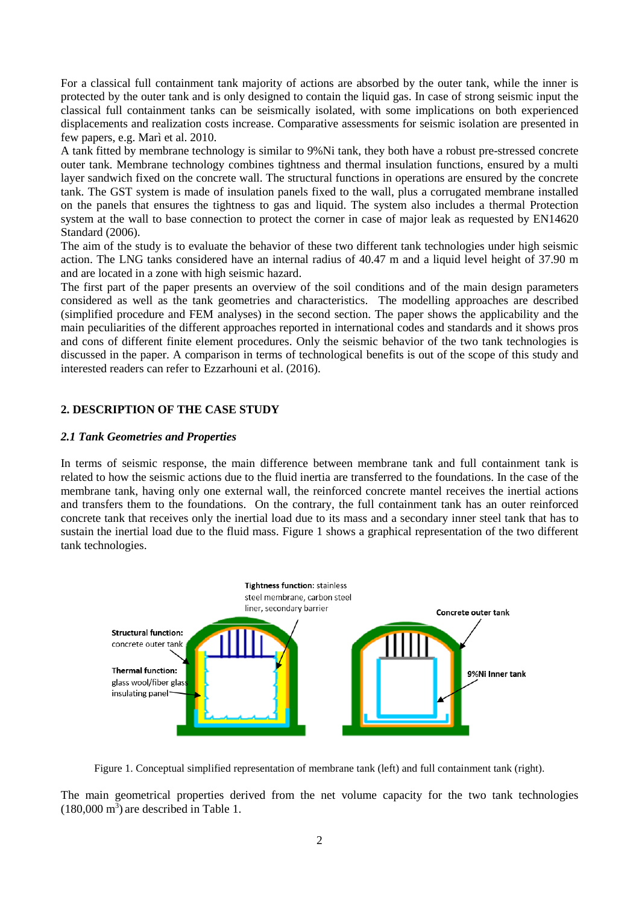For a classical full containment tank majority of actions are absorbed by the outer tank, while the inner is protected by the outer tank and is only designed to contain the liquid gas. In case of strong seismic input the classical full containment tanks can be seismically isolated, with some implications on both experienced displacements and realization costs increase. Comparative assessments for seismic isolation are presented in few papers, e.g. Marì et al. 2010.

A tank fitted by membrane technology is similar to 9%Ni tank, they both have a robust pre-stressed concrete outer tank. Membrane technology combines tightness and thermal insulation functions, ensured by a multi layer sandwich fixed on the concrete wall. The structural functions in operations are ensured by the concrete tank. The GST system is made of insulation panels fixed to the wall, plus a corrugated membrane installed on the panels that ensures the tightness to gas and liquid. The system also includes a thermal Protection system at the wall to base connection to protect the corner in case of major leak as requested by EN14620 Standard (2006).

The aim of the study is to evaluate the behavior of these two different tank technologies under high seismic action. The LNG tanks considered have an internal radius of 40.47 m and a liquid level height of 37.90 m and are located in a zone with high seismic hazard.

The first part of the paper presents an overview of the soil conditions and of the main design parameters considered as well as the tank geometries and characteristics. The modelling approaches are described (simplified procedure and FEM analyses) in the second section. The paper shows the applicability and the main peculiarities of the different approaches reported in international codes and standards and it shows pros and cons of different finite element procedures. Only the seismic behavior of the two tank technologies is discussed in the paper. A comparison in terms of technological benefits is out of the scope of this study and interested readers can refer to Ezzarhouni et al. (2016).

# **2. DESCRIPTION OF THE CASE STUDY**

#### *2.1 Tank Geometries and Properties*

In terms of seismic response, the main difference between membrane tank and full containment tank is related to how the seismic actions due to the fluid inertia are transferred to the foundations. In the case of the membrane tank, having only one external wall, the reinforced concrete mantel receives the inertial actions and transfers them to the foundations. On the contrary, the full containment tank has an outer reinforced concrete tank that receives only the inertial load due to its mass and a secondary inner steel tank that has to sustain the inertial load due to the fluid mass. Figure 1 shows a graphical representation of the two different tank technologies.



Figure 1. Conceptual simplified representation of membrane tank (left) and full containment tank (right).

The main geometrical properties derived from the net volume capacity for the two tank technologies  $(180,000 \text{ m}^3)$  are described in Table 1.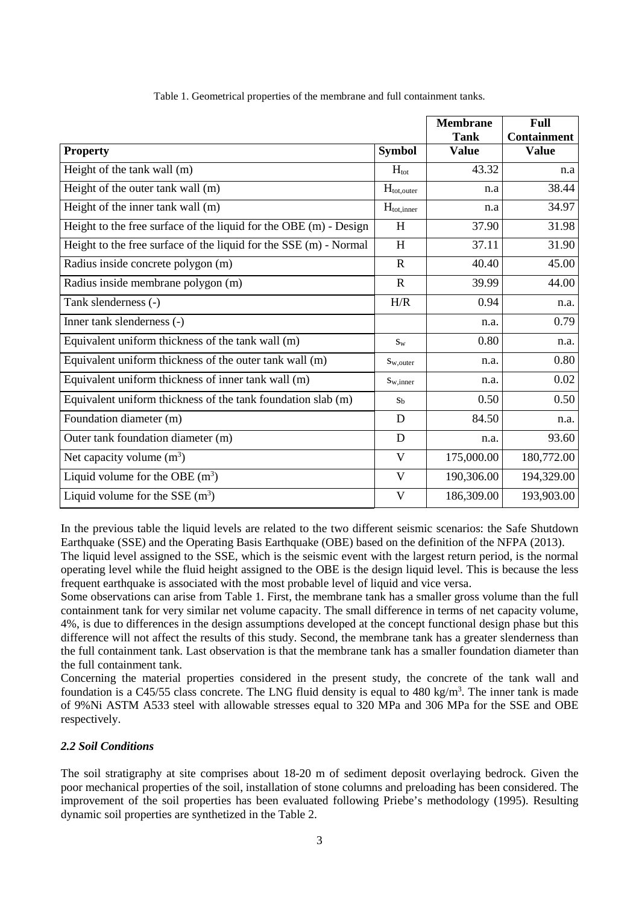|                                                                     |                        | <b>Membrane</b><br><b>Tank</b> | <b>Full</b><br><b>Containment</b> |
|---------------------------------------------------------------------|------------------------|--------------------------------|-----------------------------------|
| <b>Property</b>                                                     | <b>Symbol</b>          | <b>Value</b>                   | <b>Value</b>                      |
| Height of the tank wall (m)                                         | $H_{\text{tot}}$       | 43.32                          | n.a                               |
| Height of the outer tank wall (m)                                   | $H_{\text{tot,outer}}$ | n.a                            | 38.44                             |
| Height of the inner tank wall (m)                                   | $H_{\text{tot,inner}}$ | n.a                            | 34.97                             |
| Height to the free surface of the liquid for the OBE $(m)$ - Design | H                      | 37.90                          | 31.98                             |
| Height to the free surface of the liquid for the SSE (m) - Normal   | H                      | 37.11                          | 31.90                             |
| Radius inside concrete polygon (m)                                  | $\mathbf{R}$           | 40.40                          | 45.00                             |
| Radius inside membrane polygon (m)                                  | $\mathbf{R}$           | 39.99                          | 44.00                             |
| Tank slenderness (-)                                                | H/R                    | 0.94                           | n.a.                              |
| Inner tank slenderness (-)                                          |                        | n.a.                           | 0.79                              |
| Equivalent uniform thickness of the tank wall (m)                   | $S_{W}$                | 0.80                           | n.a.                              |
| Equivalent uniform thickness of the outer tank wall (m)             | $S_{W,outer}$          | n.a.                           | 0.80                              |
| Equivalent uniform thickness of inner tank wall (m)                 | $S_{W,inner}$          | n.a.                           | 0.02                              |
| Equivalent uniform thickness of the tank foundation slab (m)        | $S_b$                  | 0.50                           | 0.50                              |
| Foundation diameter (m)                                             | D                      | 84.50                          | n.a.                              |
| Outer tank foundation diameter (m)                                  | D                      | n.a.                           | 93.60                             |
| Net capacity volume $(m^3)$                                         | V                      | 175,000.00                     | 180,772.00                        |
| Liquid volume for the OBE $(m^3)$                                   | $\mathbf{V}$           | 190,306.00                     | 194,329.00                        |
| Liquid volume for the SSE $(m^3)$                                   | V                      | 186,309.00                     | 193,903.00                        |

Table 1. Geometrical properties of the membrane and full containment tanks.

In the previous table the liquid levels are related to the two different seismic scenarios: the Safe Shutdown Earthquake (SSE) and the Operating Basis Earthquake (OBE) based on the definition of the NFPA (2013).

The liquid level assigned to the SSE, which is the seismic event with the largest return period, is the normal operating level while the fluid height assigned to the OBE is the design liquid level. This is because the less frequent earthquake is associated with the most probable level of liquid and vice versa.

Some observations can arise from Table 1. First, the membrane tank has a smaller gross volume than the full containment tank for very similar net volume capacity. The small difference in terms of net capacity volume, 4%, is due to differences in the design assumptions developed at the concept functional design phase but this difference will not affect the results of this study. Second, the membrane tank has a greater slenderness than the full containment tank. Last observation is that the membrane tank has a smaller foundation diameter than the full containment tank.

Concerning the material properties considered in the present study, the concrete of the tank wall and foundation is a C45/55 class concrete. The LNG fluid density is equal to 480 kg/m<sup>3</sup>. The inner tank is made of 9%Ni ASTM A533 steel with allowable stresses equal to 320 MPa and 306 MPa for the SSE and OBE respectively.

## *2.2 Soil Conditions*

The soil stratigraphy at site comprises about 18-20 m of sediment deposit overlaying bedrock. Given the poor mechanical properties of the soil, installation of stone columns and preloading has been considered. The improvement of the soil properties has been evaluated following Priebe's methodology (1995). Resulting dynamic soil properties are synthetized in the Table 2.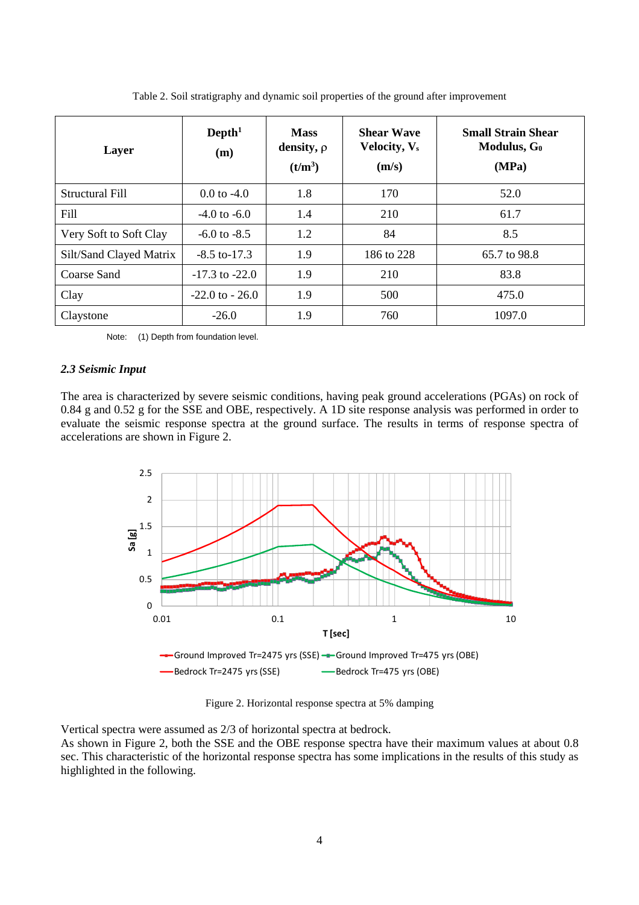| Layer                   | $Depth1$<br>(m)        | <b>Mass</b><br>density, $\rho$<br>(t/m <sup>3</sup> ) | <b>Shear Wave</b><br>Velocity, V <sub>s</sub><br>(m/s) | <b>Small Strain Shear</b><br>Modulus, $G_0$<br>(MPa) |
|-------------------------|------------------------|-------------------------------------------------------|--------------------------------------------------------|------------------------------------------------------|
| Structural Fill         | $0.0 \text{ to } -4.0$ | 1.8                                                   | 170                                                    | 52.0                                                 |
| Fill                    | $-4.0$ to $-6.0$       | 1.4                                                   | 210                                                    | 61.7                                                 |
| Very Soft to Soft Clay  | $-6.0$ to $-8.5$       | 1.2                                                   | 84                                                     | 8.5                                                  |
| Silt/Sand Clayed Matrix | $-8.5$ to-17.3         | 1.9                                                   | 186 to 228                                             | 65.7 to 98.8                                         |
| Coarse Sand             | $-17.3$ to $-22.0$     | 1.9                                                   | 210                                                    | 83.8                                                 |
| Clay                    | $-22.0$ to $-26.0$     | 1.9                                                   | 500                                                    | 475.0                                                |
| Claystone               | $-26.0$                | 1.9                                                   | 760                                                    | 1097.0                                               |

Table 2. Soil stratigraphy and dynamic soil properties of the ground after improvement

Note: (1) Depth from foundation level.

### *2.3 Seismic Input*

The area is characterized by severe seismic conditions, having peak ground accelerations (PGAs) on rock of 0.84 g and 0.52 g for the SSE and OBE, respectively. A 1D site response analysis was performed in order to evaluate the seismic response spectra at the ground surface. The results in terms of response spectra of accelerations are shown in Figure 2.



Figure 2. Horizontal response spectra at 5% damping

Vertical spectra were assumed as 2/3 of horizontal spectra at bedrock.

As shown in Figure 2, both the SSE and the OBE response spectra have their maximum values at about 0.8 sec. This characteristic of the horizontal response spectra has some implications in the results of this study as highlighted in the following.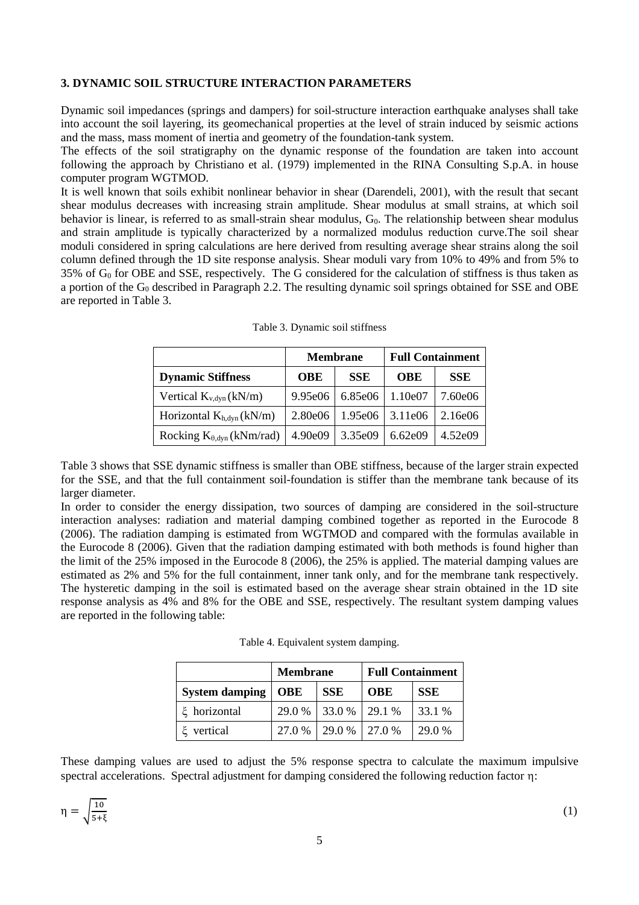## **3. DYNAMIC SOIL STRUCTURE INTERACTION PARAMETERS**

Dynamic soil impedances (springs and dampers) for soil-structure interaction earthquake analyses shall take into account the soil layering, its geomechanical properties at the level of strain induced by seismic actions and the mass, mass moment of inertia and geometry of the foundation-tank system.

The effects of the soil stratigraphy on the dynamic response of the foundation are taken into account following the approach by Christiano et al. (1979) implemented in the RINA Consulting S.p.A. in house computer program WGTMOD.

It is well known that soils exhibit nonlinear behavior in shear (Darendeli, 2001), with the result that secant shear modulus decreases with increasing strain amplitude. Shear modulus at small strains, at which soil behavior is linear, is referred to as small-strain shear modulus,  $G<sub>0</sub>$ . The relationship between shear modulus and strain amplitude is typically characterized by a normalized modulus reduction curve.The soil shear moduli considered in spring calculations are here derived from resulting average shear strains along the soil column defined through the 1D site response analysis. Shear moduli vary from 10% to 49% and from 5% to  $35\%$  of G<sub>0</sub> for OBE and SSE, respectively. The G considered for the calculation of stiffness is thus taken as a portion of the  $G_0$  described in Paragraph 2.2. The resulting dynamic soil springs obtained for SSE and OBE are reported in Table 3.

|                                     |                          | <b>Membrane</b> | <b>Full Containment</b> |            |  |
|-------------------------------------|--------------------------|-----------------|-------------------------|------------|--|
| <b>Dynamic Stiffness</b>            | <b>SSE</b><br><b>OBE</b> |                 | <b>OBE</b>              | <b>SSE</b> |  |
| Vertical $K_{v, dyn}(kN/m)$         | 9.95e06                  | 6.85e06         | 1.10e07                 | 7.60e06    |  |
| Horizontal $K_{h, dyn}(kN/m)$       | 2.80e06                  | 1.95e06         | 3.11e06                 | 2.16e06    |  |
| Rocking $K_{\theta, dyn}$ (kNm/rad) | 4.90e09                  | 3.35e09         | 6.62e09                 | 4.52e09    |  |

| Table 3. Dynamic soil stiffness |  |
|---------------------------------|--|
|---------------------------------|--|

Table 3 shows that SSE dynamic stiffness is smaller than OBE stiffness, because of the larger strain expected for the SSE, and that the full containment soil-foundation is stiffer than the membrane tank because of its larger diameter.

In order to consider the energy dissipation, two sources of damping are considered in the soil-structure interaction analyses: radiation and material damping combined together as reported in the Eurocode 8 (2006). The radiation damping is estimated from WGTMOD and compared with the formulas available in the Eurocode 8 (2006). Given that the radiation damping estimated with both methods is found higher than the limit of the 25% imposed in the Eurocode 8 (2006), the 25% is applied. The material damping values are estimated as 2% and 5% for the full containment, inner tank only, and for the membrane tank respectively. The hysteretic damping in the soil is estimated based on the average shear strain obtained in the 1D site response analysis as 4% and 8% for the OBE and SSE, respectively. The resultant system damping values are reported in the following table:

|  | Table 4. Equivalent system damping. |  |  |
|--|-------------------------------------|--|--|
|--|-------------------------------------|--|--|

|                       | <b>Membrane</b> |                      | <b>Full Containment</b> |            |
|-----------------------|-----------------|----------------------|-------------------------|------------|
| <b>System damping</b> | <b>OBE</b>      | <b>SSE</b>           | OBE                     | <b>SSE</b> |
| ξ horizontal          |                 | 29.0 % 33.0 % 29.1 % |                         | 33.1 %     |
| ξ vertical            | 27.0 %          | 29.0 % 27.0 %        |                         | 29.0 %     |

These damping values are used to adjust the 5% response spectra to calculate the maximum impulsive spectral accelerations. Spectral adjustment for damping considered the following reduction factor n: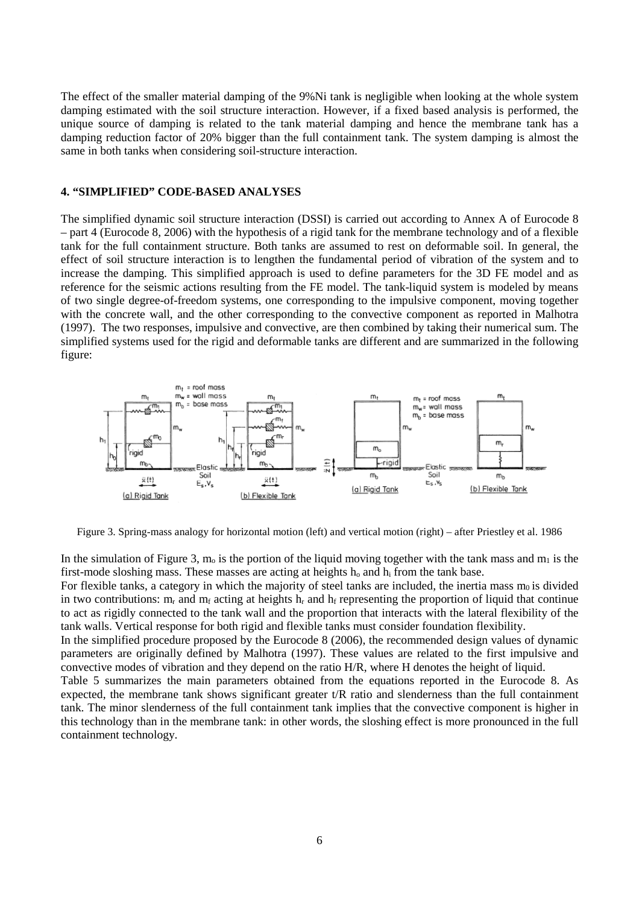The effect of the smaller material damping of the 9%Ni tank is negligible when looking at the whole system damping estimated with the soil structure interaction. However, if a fixed based analysis is performed, the unique source of damping is related to the tank material damping and hence the membrane tank has a damping reduction factor of 20% bigger than the full containment tank. The system damping is almost the same in both tanks when considering soil-structure interaction.

#### **4. "SIMPLIFIED" CODE-BASED ANALYSES**

The simplified dynamic soil structure interaction (DSSI) is carried out according to Annex A of Eurocode 8 – part 4 (Eurocode 8, 2006) with the hypothesis of a rigid tank for the membrane technology and of a flexible tank for the full containment structure. Both tanks are assumed to rest on deformable soil. In general, the effect of soil structure interaction is to lengthen the fundamental period of vibration of the system and to increase the damping. This simplified approach is used to define parameters for the 3D FE model and as reference for the seismic actions resulting from the FE model. The tank-liquid system is modeled by means of two single degree-of-freedom systems, one corresponding to the impulsive component, moving together with the concrete wall, and the other corresponding to the convective component as reported in Malhotra (1997). The two responses, impulsive and convective, are then combined by taking their numerical sum. The simplified systems used for the rigid and deformable tanks are different and are summarized in the following figure:



Figure 3. Spring-mass analogy for horizontal motion (left) and vertical motion (right) – after Priestley et al. 1986

In the simulation of Figure 3,  $m_0$  is the portion of the liquid moving together with the tank mass and  $m_1$  is the first-mode sloshing mass. These masses are acting at heights  $h_0$  and  $h_i$  from the tank base.

For flexible tanks, a category in which the majority of steel tanks are included, the inertia mass  $m_0$  is divided in two contributions:  $m_r$  and  $m_f$  acting at heights  $h_r$  and  $h_f$  representing the proportion of liquid that continue to act as rigidly connected to the tank wall and the proportion that interacts with the lateral flexibility of the tank walls. Vertical response for both rigid and flexible tanks must consider foundation flexibility.

In the simplified procedure proposed by the Eurocode 8 (2006), the recommended design values of dynamic parameters are originally defined by Malhotra (1997). These values are related to the first impulsive and convective modes of vibration and they depend on the ratio H/R, where H denotes the height of liquid.

Table 5 summarizes the main parameters obtained from the equations reported in the Eurocode 8. As expected, the membrane tank shows significant greater t/R ratio and slenderness than the full containment tank. The minor slenderness of the full containment tank implies that the convective component is higher in this technology than in the membrane tank: in other words, the sloshing effect is more pronounced in the full containment technology.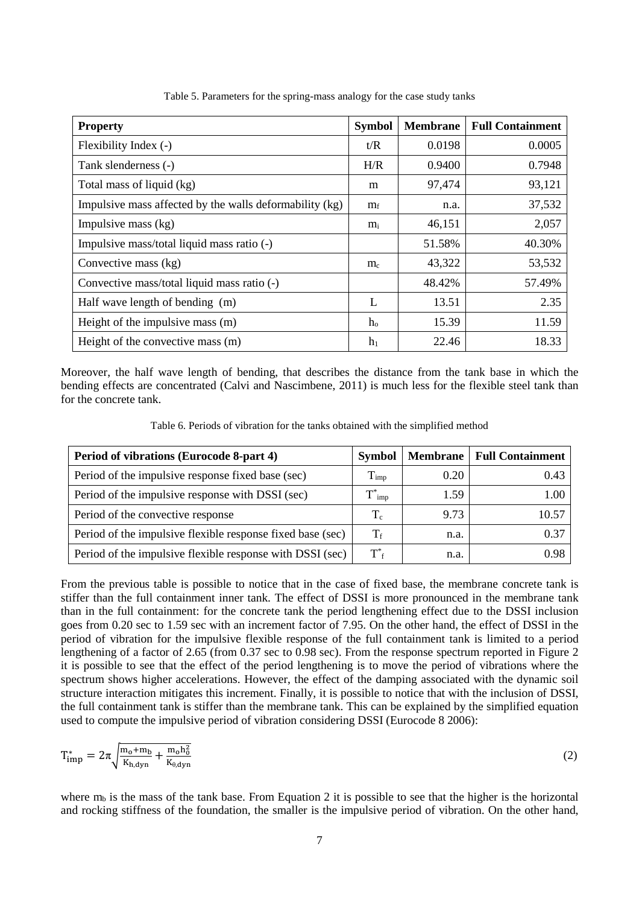| <b>Property</b>                                         | <b>Symbol</b>  | <b>Membrane</b> | <b>Full Containment</b> |
|---------------------------------------------------------|----------------|-----------------|-------------------------|
| Flexibility Index (-)                                   | t/R            | 0.0198          | 0.0005                  |
| Tank slenderness (-)                                    | H/R            | 0.9400          | 0.7948                  |
| Total mass of liquid (kg)                               | m              | 97,474          | 93,121                  |
| Impulsive mass affected by the walls deformability (kg) | $m_f$          | n.a.            | 37,532                  |
| Impulsive mass (kg)                                     | $m_i$          | 46,151          | 2,057                   |
| Impulsive mass/total liquid mass ratio (-)              |                | 51.58%          | 40.30%                  |
| Convective mass (kg)                                    | $m_c$          | 43,322          | 53,532                  |
| Convective mass/total liquid mass ratio (-)             |                | 48.42%          | 57.49%                  |
| Half wave length of bending (m)                         | L              | 13.51           | 2.35                    |
| Height of the impulsive mass (m)                        | $h_{\alpha}$   | 15.39           | 11.59                   |
| Height of the convective mass (m)                       | h <sub>1</sub> | 22.46           | 18.33                   |

Table 5. Parameters for the spring-mass analogy for the case study tanks

Moreover, the half wave length of bending, that describes the distance from the tank base in which the bending effects are concentrated (Calvi and Nascimbene, 2011) is much less for the flexible steel tank than for the concrete tank.

Table 6. Periods of vibration for the tanks obtained with the simplified method

| Period of vibrations (Eurocode 8-part 4)                   | Symbol               | <b>Membrane</b> | <b>Full Containment</b> |
|------------------------------------------------------------|----------------------|-----------------|-------------------------|
| Period of the impulsive response fixed base (sec)          | $\rm T_{imp}$        | 0.20            | 0.43                    |
| Period of the impulsive response with DSSI (sec)           | imp                  | 1.59            | $1.00\,$                |
| Period of the convective response                          | $T_c$                | 9.73            | 10.57                   |
| Period of the impulsive flexible response fixed base (sec) | $T_{\rm f}$          | n.a.            | 0.37                    |
| Period of the impulsive flexible response with DSSI (sec)  | $T^*_{\phantom{*}f}$ | n.a.            | 0.98                    |

From the previous table is possible to notice that in the case of fixed base, the membrane concrete tank is stiffer than the full containment inner tank. The effect of DSSI is more pronounced in the membrane tank than in the full containment: for the concrete tank the period lengthening effect due to the DSSI inclusion goes from 0.20 sec to 1.59 sec with an increment factor of 7.95. On the other hand, the effect of DSSI in the period of vibration for the impulsive flexible response of the full containment tank is limited to a period lengthening of a factor of 2.65 (from 0.37 sec to 0.98 sec). From the response spectrum reported in Figure 2 it is possible to see that the effect of the period lengthening is to move the period of vibrations where the spectrum shows higher accelerations. However, the effect of the damping associated with the dynamic soil structure interaction mitigates this increment. Finally, it is possible to notice that with the inclusion of DSSI, the full containment tank is stiffer than the membrane tank. This can be explained by the simplified equation used to compute the impulsive period of vibration considering DSSI (Eurocode 8 2006):

$$
T_{\rm imp}^* = 2\pi \sqrt{\frac{m_0 + m_b}{K_{h,dyn}}} + \frac{m_0 h_0^2}{K_{\theta, dyn}} \tag{2}
$$

where  $m_b$  is the mass of the tank base. From Equation 2 it is possible to see that the higher is the horizontal and rocking stiffness of the foundation, the smaller is the impulsive period of vibration. On the other hand,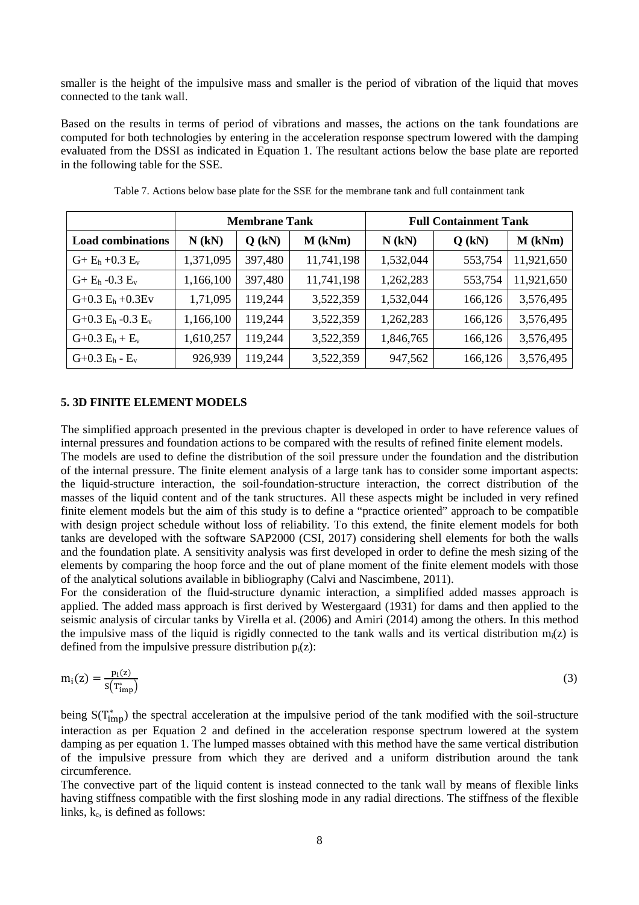smaller is the height of the impulsive mass and smaller is the period of vibration of the liquid that moves connected to the tank wall.

Based on the results in terms of period of vibrations and masses, the actions on the tank foundations are computed for both technologies by entering in the acceleration response spectrum lowered with the damping evaluated from the DSSI as indicated in Equation 1. The resultant actions below the base plate are reported in the following table for the SSE.

|                          | <b>Membrane Tank</b> |          |            |           | <b>Full Containment Tank</b> |            |
|--------------------------|----------------------|----------|------------|-----------|------------------------------|------------|
| <b>Load combinations</b> | $N$ (kN)             | $Q$ (kN) | $M$ (kNm)  | $N$ (kN)  | $Q$ (kN)                     | $M$ (kNm)  |
| $G + E_h + 0.3 E_v$      | 1,371,095            | 397,480  | 11,741,198 | 1,532,044 | 553,754                      | 11,921,650 |
| $G + E_h - 0.3 E_v$      | 1,166,100            | 397,480  | 11,741,198 | 1,262,283 | 553,754                      | 11,921,650 |
| $G+0.3 E_h +0.3 E_v$     | 1,71,095             | 119,244  | 3,522,359  | 1,532,044 | 166,126                      | 3,576,495  |
| $G+0.3$ $E_h$ -0.3 $E_v$ | 1,166,100            | 119,244  | 3,522,359  | 1,262,283 | 166,126                      | 3,576,495  |
| $G+0.3 E_h + E_v$        | 1,610,257            | 119,244  | 3,522,359  | 1,846,765 | 166,126                      | 3,576,495  |
| $G+0.3 E_h - E_v$        | 926,939              | 119,244  | 3,522,359  | 947,562   | 166,126                      | 3,576,495  |

Table 7. Actions below base plate for the SSE for the membrane tank and full containment tank

#### **5. 3D FINITE ELEMENT MODELS**

The simplified approach presented in the previous chapter is developed in order to have reference values of internal pressures and foundation actions to be compared with the results of refined finite element models.

The models are used to define the distribution of the soil pressure under the foundation and the distribution of the internal pressure. The finite element analysis of a large tank has to consider some important aspects: the liquid-structure interaction, the soil-foundation-structure interaction, the correct distribution of the masses of the liquid content and of the tank structures. All these aspects might be included in very refined finite element models but the aim of this study is to define a "practice oriented" approach to be compatible with design project schedule without loss of reliability. To this extend, the finite element models for both tanks are developed with the software SAP2000 (CSI, 2017) considering shell elements for both the walls and the foundation plate. A sensitivity analysis was first developed in order to define the mesh sizing of the elements by comparing the hoop force and the out of plane moment of the finite element models with those of the analytical solutions available in bibliography (Calvi and Nascimbene, 2011).

For the consideration of the fluid-structure dynamic interaction, a simplified added masses approach is applied. The added mass approach is first derived by Westergaard (1931) for dams and then applied to the seismic analysis of circular tanks by Virella et al. (2006) and Amiri (2014) among the others. In this method the impulsive mass of the liquid is rigidly connected to the tank walls and its vertical distribution  $m_i(z)$  is defined from the impulsive pressure distribution  $p_i(z)$ :

$$
m_i(z) = \frac{p_i(z)}{s(T_{imp}^*)}
$$
 (3)

being  $S(T_{imp}^*)$  the spectral acceleration at the impulsive period of the tank modified with the soil-structure interaction as per Equation 2 and defined in the acceleration response spectrum lowered at the system damping as per equation 1. The lumped masses obtained with this method have the same vertical distribution of the impulsive pressure from which they are derived and a uniform distribution around the tank circumference.

The convective part of the liquid content is instead connected to the tank wall by means of flexible links having stiffness compatible with the first sloshing mode in any radial directions. The stiffness of the flexible links, k<sub>c</sub>, is defined as follows: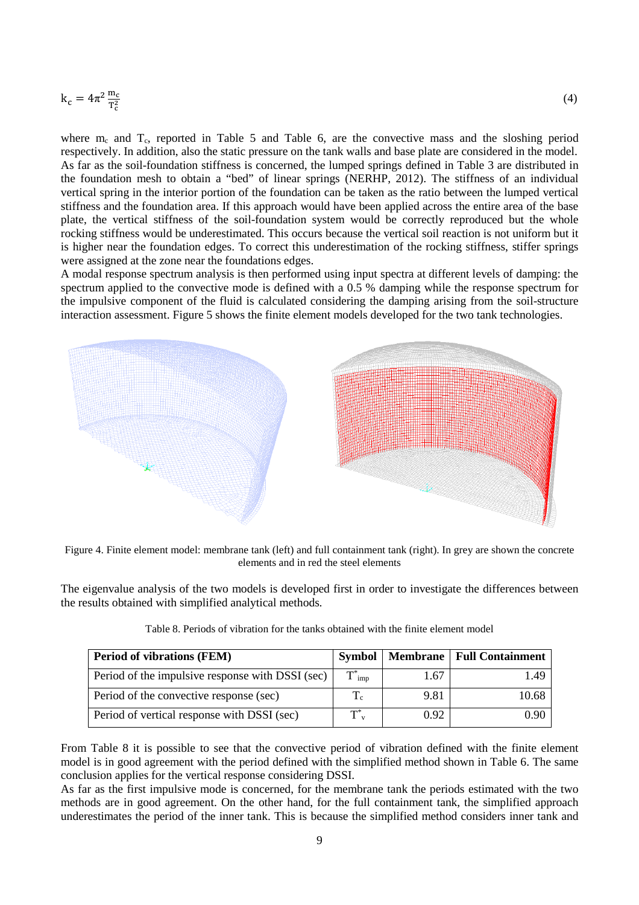$$
k_c=4\pi^2\frac{m_c}{T_c^2}
$$

where  $m_c$  and  $T_c$ , reported in Table 5 and Table 6, are the convective mass and the sloshing period respectively. In addition, also the static pressure on the tank walls and base plate are considered in the model. As far as the soil-foundation stiffness is concerned, the lumped springs defined in Table 3 are distributed in the foundation mesh to obtain a "bed" of linear springs (NERHP, 2012). The stiffness of an individual vertical spring in the interior portion of the foundation can be taken as the ratio between the lumped vertical stiffness and the foundation area. If this approach would have been applied across the entire area of the base plate, the vertical stiffness of the soil-foundation system would be correctly reproduced but the whole rocking stiffness would be underestimated. This occurs because the vertical soil reaction is not uniform but it is higher near the foundation edges. To correct this underestimation of the rocking stiffness, stiffer springs were assigned at the zone near the foundations edges.

A modal response spectrum analysis is then performed using input spectra at different levels of damping: the spectrum applied to the convective mode is defined with a 0.5 % damping while the response spectrum for the impulsive component of the fluid is calculated considering the damping arising from the soil-structure interaction assessment. Figure 5 shows the finite element models developed for the two tank technologies.



Figure 4. Finite element model: membrane tank (left) and full containment tank (right). In grey are shown the concrete elements and in red the steel elements

The eigenvalue analysis of the two models is developed first in order to investigate the differences between the results obtained with simplified analytical methods.

| <b>Period of vibrations (FEM)</b>                | Symbol                      |      | <b>Membrane   Full Containment</b> |
|--------------------------------------------------|-----------------------------|------|------------------------------------|
| Period of the impulsive response with DSSI (sec) | $\mathbf{T}^*_{\text{imp}}$ | 1.67 | 149                                |
| Period of the convective response (sec)          |                             | 9.81 | 10.68                              |
| Period of vertical response with DSSI (sec)      | $T^*_{\nu}$                 | 0.92 | N 90                               |

From Table 8 it is possible to see that the convective period of vibration defined with the finite element model is in good agreement with the period defined with the simplified method shown in Table 6. The same conclusion applies for the vertical response considering DSSI.

As far as the first impulsive mode is concerned, for the membrane tank the periods estimated with the two methods are in good agreement. On the other hand, for the full containment tank, the simplified approach underestimates the period of the inner tank. This is because the simplified method considers inner tank and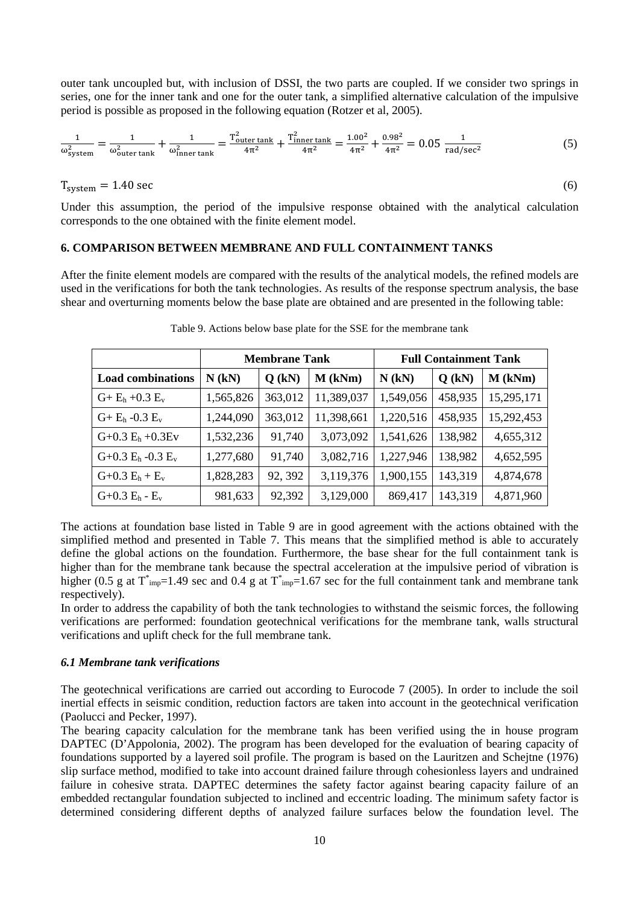outer tank uncoupled but, with inclusion of DSSI, the two parts are coupled. If we consider two springs in series, one for the inner tank and one for the outer tank, a simplified alternative calculation of the impulsive period is possible as proposed in the following equation (Rotzer et al, 2005).

$$
\frac{1}{\omega_{\text{system}}^2} = \frac{1}{\omega_{\text{outer tank}}^2} + \frac{1}{\omega_{\text{inner tank}}^2} = \frac{T_{\text{outer tank}}^2}{4\pi^2} + \frac{T_{\text{inner tank}}^2}{4\pi^2} = \frac{1.00^2}{4\pi^2} + \frac{0.98^2}{4\pi^2} = 0.05 \frac{1}{\text{rad/sec}^2}
$$
(5)

 $T_{\text{system}} = 1.40 \text{ sec}$  (6)

Under this assumption, the period of the impulsive response obtained with the analytical calculation corresponds to the one obtained with the finite element model.

#### **6. COMPARISON BETWEEN MEMBRANE AND FULL CONTAINMENT TANKS**

After the finite element models are compared with the results of the analytical models, the refined models are used in the verifications for both the tank technologies. As results of the response spectrum analysis, the base shear and overturning moments below the base plate are obtained and are presented in the following table:

|                          | <b>Membrane Tank</b> |          |            |           | <b>Full Containment Tank</b> |            |
|--------------------------|----------------------|----------|------------|-----------|------------------------------|------------|
| <b>Load combinations</b> | $N$ (kN)             | $Q$ (kN) | $M$ (kNm)  | $N$ (kN)  | $Q$ (kN)                     | $M$ (kNm)  |
| $G + E_h + 0.3 E_v$      | 1,565,826            | 363,012  | 11,389,037 | 1,549,056 | 458,935                      | 15,295,171 |
| $G + E_h - 0.3 E_v$      | 1,244,090            | 363,012  | 11,398,661 | 1,220,516 | 458,935                      | 15,292,453 |
| $G+0.3 E_h +0.3 E_v$     | 1,532,236            | 91,740   | 3,073,092  | 1,541,626 | 138,982                      | 4,655,312  |
| $G+0.3$ $E_h$ -0.3 $E_v$ | 1,277,680            | 91,740   | 3,082,716  | 1,227,946 | 138,982                      | 4,652,595  |
| $G+0.3 E_h + E_v$        | 1,828,283            | 92, 392  | 3,119,376  | 1,900,155 | 143,319                      | 4,874,678  |
| $G+0.3 E_h - E_v$        | 981,633              | 92,392   | 3,129,000  | 869,417   | 143,319                      | 4,871,960  |

Table 9. Actions below base plate for the SSE for the membrane tank

The actions at foundation base listed in Table 9 are in good agreement with the actions obtained with the simplified method and presented in Table 7. This means that the simplified method is able to accurately define the global actions on the foundation. Furthermore, the base shear for the full containment tank is higher than for the membrane tank because the spectral acceleration at the impulsive period of vibration is higher (0.5 g at  $T^*_{imp}$ =1.49 sec and 0.4 g at  $T^*_{imp}$ =1.67 sec for the full containment tank and membrane tank respectively).

In order to address the capability of both the tank technologies to withstand the seismic forces, the following verifications are performed: foundation geotechnical verifications for the membrane tank, walls structural verifications and uplift check for the full membrane tank.

#### *6.1 Membrane tank verifications*

The geotechnical verifications are carried out according to Eurocode 7 (2005). In order to include the soil inertial effects in seismic condition, reduction factors are taken into account in the geotechnical verification (Paolucci and Pecker, 1997).

The bearing capacity calculation for the membrane tank has been verified using the in house program DAPTEC (D'Appolonia, 2002). The program has been developed for the evaluation of bearing capacity of foundations supported by a layered soil profile. The program is based on the Lauritzen and Schejtne (1976) slip surface method, modified to take into account drained failure through cohesionless layers and undrained failure in cohesive strata. DAPTEC determines the safety factor against bearing capacity failure of an embedded rectangular foundation subjected to inclined and eccentric loading. The minimum safety factor is determined considering different depths of analyzed failure surfaces below the foundation level. The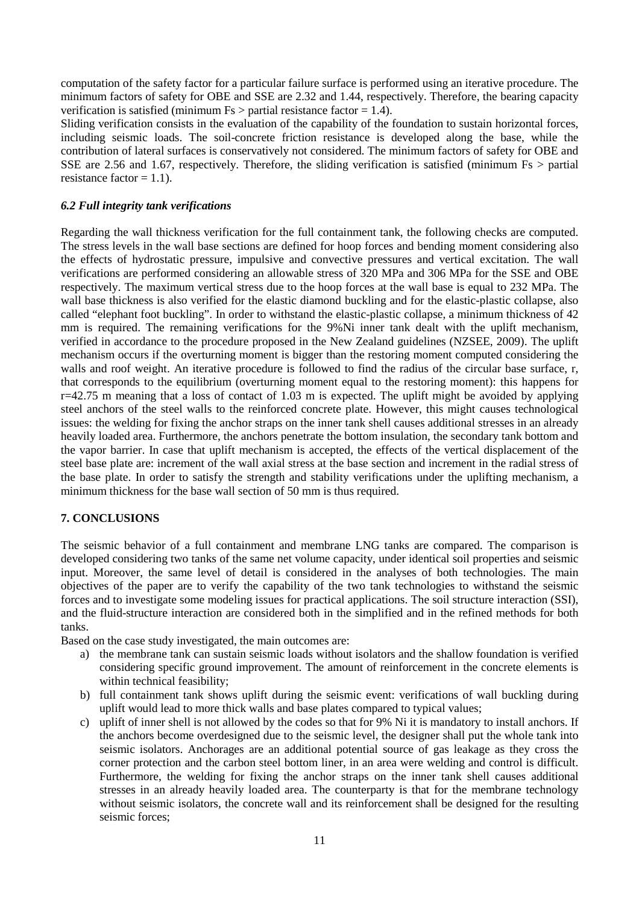computation of the safety factor for a particular failure surface is performed using an iterative procedure. The minimum factors of safety for OBE and SSE are 2.32 and 1.44, respectively. Therefore, the bearing capacity verification is satisfied (minimum  $Fs$  > partial resistance factor = 1.4).

Sliding verification consists in the evaluation of the capability of the foundation to sustain horizontal forces, including seismic loads. The soil-concrete friction resistance is developed along the base, while the contribution of lateral surfaces is conservatively not considered. The minimum factors of safety for OBE and SSE are 2.56 and 1.67, respectively. Therefore, the sliding verification is satisfied (minimum Fs > partial resistance factor  $= 1.1$ ).

## *6.2 Full integrity tank verifications*

Regarding the wall thickness verification for the full containment tank, the following checks are computed. The stress levels in the wall base sections are defined for hoop forces and bending moment considering also the effects of hydrostatic pressure, impulsive and convective pressures and vertical excitation. The wall verifications are performed considering an allowable stress of 320 MPa and 306 MPa for the SSE and OBE respectively. The maximum vertical stress due to the hoop forces at the wall base is equal to 232 MPa. The wall base thickness is also verified for the elastic diamond buckling and for the elastic-plastic collapse, also called "elephant foot buckling". In order to withstand the elastic-plastic collapse, a minimum thickness of 42 mm is required. The remaining verifications for the 9%Ni inner tank dealt with the uplift mechanism, verified in accordance to the procedure proposed in the New Zealand guidelines (NZSEE, 2009). The uplift mechanism occurs if the overturning moment is bigger than the restoring moment computed considering the walls and roof weight. An iterative procedure is followed to find the radius of the circular base surface, r, that corresponds to the equilibrium (overturning moment equal to the restoring moment): this happens for  $r=42.75$  m meaning that a loss of contact of 1.03 m is expected. The uplift might be avoided by applying steel anchors of the steel walls to the reinforced concrete plate. However, this might causes technological issues: the welding for fixing the anchor straps on the inner tank shell causes additional stresses in an already heavily loaded area. Furthermore, the anchors penetrate the bottom insulation, the secondary tank bottom and the vapor barrier. In case that uplift mechanism is accepted, the effects of the vertical displacement of the steel base plate are: increment of the wall axial stress at the base section and increment in the radial stress of the base plate. In order to satisfy the strength and stability verifications under the uplifting mechanism, a minimum thickness for the base wall section of 50 mm is thus required.

#### **7. CONCLUSIONS**

The seismic behavior of a full containment and membrane LNG tanks are compared. The comparison is developed considering two tanks of the same net volume capacity, under identical soil properties and seismic input. Moreover, the same level of detail is considered in the analyses of both technologies. The main objectives of the paper are to verify the capability of the two tank technologies to withstand the seismic forces and to investigate some modeling issues for practical applications. The soil structure interaction (SSI), and the fluid-structure interaction are considered both in the simplified and in the refined methods for both tanks.

Based on the case study investigated, the main outcomes are:

- a) the membrane tank can sustain seismic loads without isolators and the shallow foundation is verified considering specific ground improvement. The amount of reinforcement in the concrete elements is within technical feasibility;
- b) full containment tank shows uplift during the seismic event: verifications of wall buckling during uplift would lead to more thick walls and base plates compared to typical values;
- c) uplift of inner shell is not allowed by the codes so that for 9% Ni it is mandatory to install anchors. If the anchors become overdesigned due to the seismic level, the designer shall put the whole tank into seismic isolators. Anchorages are an additional potential source of gas leakage as they cross the corner protection and the carbon steel bottom liner, in an area were welding and control is difficult. Furthermore, the welding for fixing the anchor straps on the inner tank shell causes additional stresses in an already heavily loaded area. The counterparty is that for the membrane technology without seismic isolators, the concrete wall and its reinforcement shall be designed for the resulting seismic forces;